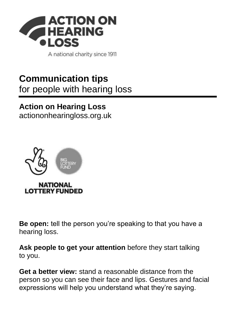

A national charity since 1911

## **Communication tips** for people with hearing loss

## **Action on Hearing Loss**

[actiononhearingloss.org.uk](https://www.actiononhearingloss.org.uk/)



**Be open:** tell the person you're speaking to that you have a hearing loss.

**Ask people to get your attention** before they start talking to you.

**Get a better view:** stand a reasonable distance from the person so you can see their face and lips. Gestures and facial expressions will help you understand what they're saying.